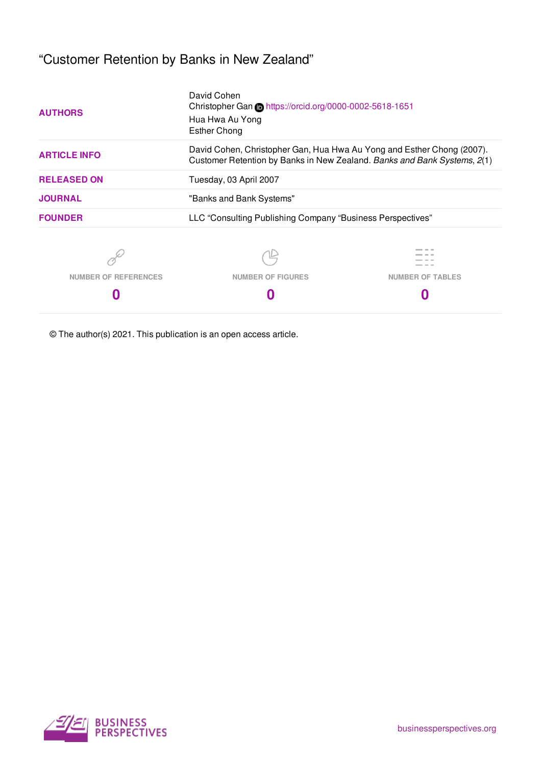# "Customer Retention by Banks in New Zealand"

| <b>AUTHORS</b>              | David Cohen<br>Christopher Gan Chttps://orcid.org/0000-0002-5618-1651<br>Hua Hwa Au Yong<br><b>Esther Chong</b>                                    |                         |  |  |  |
|-----------------------------|----------------------------------------------------------------------------------------------------------------------------------------------------|-------------------------|--|--|--|
| <b>ARTICLE INFO</b>         | David Cohen, Christopher Gan, Hua Hwa Au Yong and Esther Chong (2007).<br>Customer Retention by Banks in New Zealand. Banks and Bank Systems, 2(1) |                         |  |  |  |
| <b>RELEASED ON</b>          | Tuesday, 03 April 2007                                                                                                                             |                         |  |  |  |
| <b>JOURNAL</b>              | "Banks and Bank Systems"                                                                                                                           |                         |  |  |  |
| <b>FOUNDER</b>              | LLC "Consulting Publishing Company "Business Perspectives"                                                                                         |                         |  |  |  |
|                             |                                                                                                                                                    |                         |  |  |  |
| <b>NUMBER OF REFERENCES</b> | <b>NUMBER OF FIGURES</b>                                                                                                                           | <b>NUMBER OF TABLES</b> |  |  |  |
|                             |                                                                                                                                                    |                         |  |  |  |

© The author(s) 2021. This publication is an open access article.

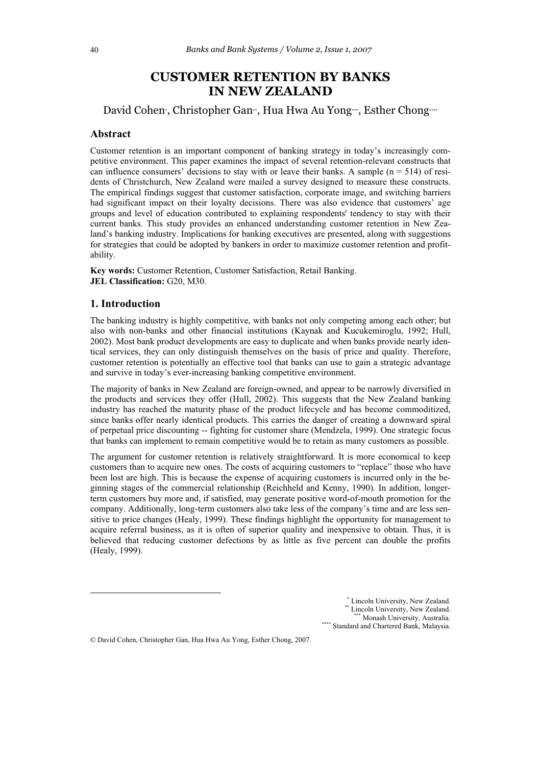## **CUSTOMER RETENTION BY BANKS IN NEW ZEALAND**

David Cohen\*, Christopher Gan\*, Hua Hwa Au Yong\*\*\*, Esther Chong\*\*\*

## **Abstract**

Customer retention is an important component of banking strategy in today's increasingly competitive environment. This paper examines the impact of several retention-relevant constructs that can influence consumers' decisions to stay with or leave their banks. A sample ( $n = 514$ ) of residents of Christchurch, New Zealand were mailed a survey designed to measure these constructs. The empirical findings suggest that customer satisfaction, corporate image, and switching barriers had significant impact on their loyalty decisions. There was also evidence that customers' age groups and level of education contributed to explaining respondents' tendency to stay with their current banks. This study provides an enhanced understanding customer retention in New Zealand's banking industry. Implications for banking executives are presented, along with suggestions for strategies that could be adopted by bankers in order to maximize customer retention and profitability.

**Key words:** Customer Retention, Customer Satisfaction, Retail Banking. **JEL Classification:** G20, M30.

## **1. Introduction**

-

The banking industry is highly competitive, with banks not only competing among each other; but also with non-banks and other financial institutions (Kaynak and Kucukemiroglu, 1992; Hull, 2002). Most bank product developments are easy to duplicate and when banks provide nearly identical services, they can only distinguish themselves on the basis of price and quality. Therefore, customer retention is potentially an effective tool that banks can use to gain a strategic advantage and survive in today's ever-increasing banking competitive environment.

The majority of banks in New Zealand are foreign-owned, and appear to be narrowly diversified in the products and services they offer (Hull, 2002). This suggests that the New Zealand banking industry has reached the maturity phase of the product lifecycle and has become commoditized, since banks offer nearly identical products. This carries the danger of creating a downward spiral of perpetual price discounting -- fighting for customer share (Mendzela, 1999). One strategic focus that banks can implement to remain competitive would be to retain as many customers as possible.

The argument for customer retention is relatively straightforward. It is more economical to keep customers than to acquire new ones. The costs of acquiring customers to "replace" those who have been lost are high. This is because the expense of acquiring customers is incurred only in the beginning stages of the commercial relationship (Reichheld and Kenny, 1990). In addition, longerterm customers buy more and, if satisfied, may generate positive word-of-mouth promotion for the company. Additionally, long-term customers also take less of the company's time and are less sensitive to price changes (Healy, 1999). These findings highlight the opportunity for management to acquire referral business, as it is often of superior quality and inexpensive to obtain. Thus, it is believed that reducing customer defections by as little as five percent can double the profits (Healy, 1999).

> \* Lincoln University, New Zealand. Lincoln University, New Zealand. Monash University, Australia. \*\*\*\* Standard and Chartered Bank, Malaysia.

© David Cohen, Christopher Gan, Hua Hwa Au Yong, Esther Chong, 2007.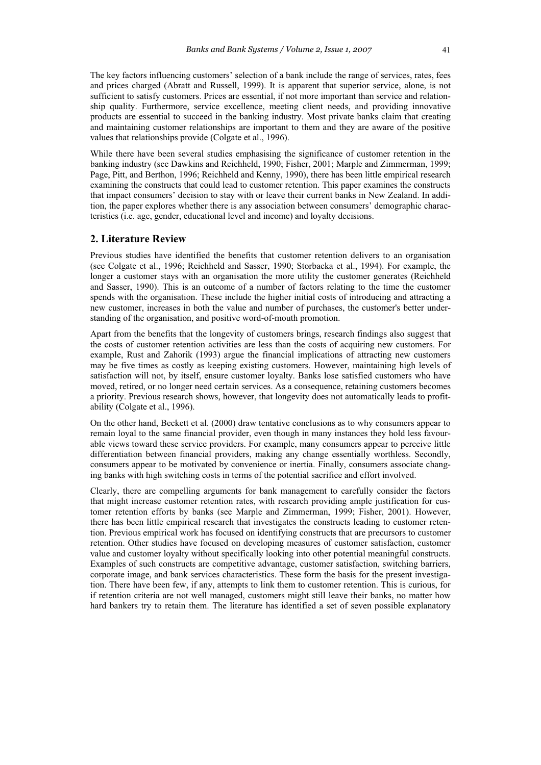The key factors influencing customers' selection of a bank include the range of services, rates, fees and prices charged (Abratt and Russell, 1999). It is apparent that superior service, alone, is not sufficient to satisfy customers. Prices are essential, if not more important than service and relationship quality. Furthermore, service excellence, meeting client needs, and providing innovative products are essential to succeed in the banking industry. Most private banks claim that creating and maintaining customer relationships are important to them and they are aware of the positive values that relationships provide (Colgate et al., 1996).

While there have been several studies emphasising the significance of customer retention in the banking industry (see Dawkins and Reichheld, 1990; Fisher, 2001; Marple and Zimmerman, 1999; Page, Pitt, and Berthon, 1996; Reichheld and Kenny, 1990), there has been little empirical research examining the constructs that could lead to customer retention. This paper examines the constructs that impact consumers' decision to stay with or leave their current banks in New Zealand. In addition, the paper explores whether there is any association between consumers' demographic characteristics (i.e. age, gender, educational level and income) and loyalty decisions.

### **2. Literature Review**

Previous studies have identified the benefits that customer retention delivers to an organisation (see Colgate et al., 1996; Reichheld and Sasser, 1990; Storbacka et al., 1994). For example, the longer a customer stays with an organisation the more utility the customer generates (Reichheld and Sasser, 1990). This is an outcome of a number of factors relating to the time the customer spends with the organisation. These include the higher initial costs of introducing and attracting a new customer, increases in both the value and number of purchases, the customer's better understanding of the organisation, and positive word-of-mouth promotion.

Apart from the benefits that the longevity of customers brings, research findings also suggest that the costs of customer retention activities are less than the costs of acquiring new customers. For example, Rust and Zahorik (1993) argue the financial implications of attracting new customers may be five times as costly as keeping existing customers. However, maintaining high levels of satisfaction will not, by itself, ensure customer loyalty. Banks lose satisfied customers who have moved, retired, or no longer need certain services. As a consequence, retaining customers becomes a priority. Previous research shows, however, that longevity does not automatically leads to profitability (Colgate et al., 1996).

On the other hand, Beckett et al. (2000) draw tentative conclusions as to why consumers appear to remain loyal to the same financial provider, even though in many instances they hold less favourable views toward these service providers. For example, many consumers appear to perceive little differentiation between financial providers, making any change essentially worthless. Secondly, consumers appear to be motivated by convenience or inertia. Finally, consumers associate changing banks with high switching costs in terms of the potential sacrifice and effort involved.

Clearly, there are compelling arguments for bank management to carefully consider the factors that might increase customer retention rates, with research providing ample justification for customer retention efforts by banks (see Marple and Zimmerman, 1999; Fisher, 2001). However, there has been little empirical research that investigates the constructs leading to customer retention. Previous empirical work has focused on identifying constructs that are precursors to customer retention. Other studies have focused on developing measures of customer satisfaction, customer value and customer loyalty without specifically looking into other potential meaningful constructs. Examples of such constructs are competitive advantage, customer satisfaction, switching barriers, corporate image, and bank services characteristics. These form the basis for the present investigation. There have been few, if any, attempts to link them to customer retention. This is curious, for if retention criteria are not well managed, customers might still leave their banks, no matter how hard bankers try to retain them. The literature has identified a set of seven possible explanatory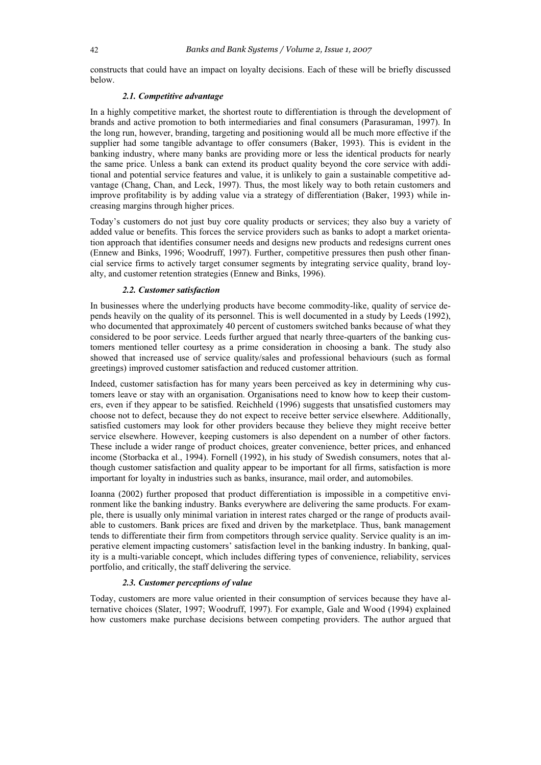constructs that could have an impact on loyalty decisions. Each of these will be briefly discussed below.

#### *2.1. Competitive advantage*

In a highly competitive market, the shortest route to differentiation is through the development of brands and active promotion to both intermediaries and final consumers (Parasuraman, 1997). In the long run, however, branding, targeting and positioning would all be much more effective if the supplier had some tangible advantage to offer consumers (Baker, 1993). This is evident in the banking industry, where many banks are providing more or less the identical products for nearly the same price. Unless a bank can extend its product quality beyond the core service with additional and potential service features and value, it is unlikely to gain a sustainable competitive advantage (Chang, Chan, and Leck, 1997). Thus, the most likely way to both retain customers and improve profitability is by adding value via a strategy of differentiation (Baker, 1993) while increasing margins through higher prices.

Today's customers do not just buy core quality products or services; they also buy a variety of added value or benefits. This forces the service providers such as banks to adopt a market orientation approach that identifies consumer needs and designs new products and redesigns current ones (Ennew and Binks, 1996; Woodruff, 1997). Further, competitive pressures then push other financial service firms to actively target consumer segments by integrating service quality, brand loyalty, and customer retention strategies (Ennew and Binks, 1996).

#### *2.2. Customer satisfaction*

In businesses where the underlying products have become commodity-like, quality of service depends heavily on the quality of its personnel. This is well documented in a study by Leeds (1992), who documented that approximately 40 percent of customers switched banks because of what they considered to be poor service. Leeds further argued that nearly three-quarters of the banking customers mentioned teller courtesy as a prime consideration in choosing a bank. The study also showed that increased use of service quality/sales and professional behaviours (such as formal greetings) improved customer satisfaction and reduced customer attrition.

Indeed, customer satisfaction has for many years been perceived as key in determining why customers leave or stay with an organisation. Organisations need to know how to keep their customers, even if they appear to be satisfied. Reichheld (1996) suggests that unsatisfied customers may choose not to defect, because they do not expect to receive better service elsewhere. Additionally, satisfied customers may look for other providers because they believe they might receive better service elsewhere. However, keeping customers is also dependent on a number of other factors. These include a wider range of product choices, greater convenience, better prices, and enhanced income (Storbacka et al., 1994). Fornell (1992), in his study of Swedish consumers, notes that although customer satisfaction and quality appear to be important for all firms, satisfaction is more important for loyalty in industries such as banks, insurance, mail order, and automobiles.

Ioanna (2002) further proposed that product differentiation is impossible in a competitive environment like the banking industry. Banks everywhere are delivering the same products. For example, there is usually only minimal variation in interest rates charged or the range of products available to customers. Bank prices are fixed and driven by the marketplace. Thus, bank management tends to differentiate their firm from competitors through service quality. Service quality is an imperative element impacting customers' satisfaction level in the banking industry. In banking, quality is a multi-variable concept, which includes differing types of convenience, reliability, services portfolio, and critically, the staff delivering the service.

## *2.3. Customer perceptions of value*

Today, customers are more value oriented in their consumption of services because they have alternative choices (Slater, 1997; Woodruff, 1997). For example, Gale and Wood (1994) explained how customers make purchase decisions between competing providers. The author argued that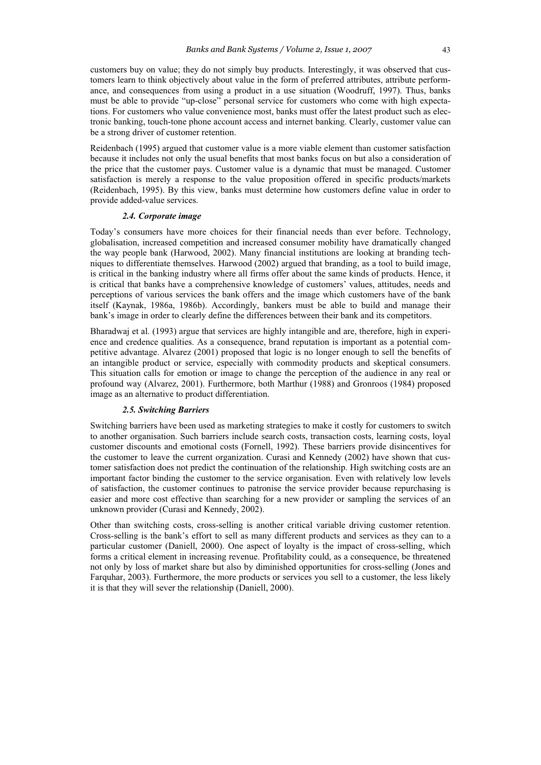customers buy on value; they do not simply buy products. Interestingly, it was observed that customers learn to think objectively about value in the form of preferred attributes, attribute performance, and consequences from using a product in a use situation (Woodruff, 1997). Thus, banks must be able to provide "up-close" personal service for customers who come with high expectations. For customers who value convenience most, banks must offer the latest product such as electronic banking, touch-tone phone account access and internet banking. Clearly, customer value can be a strong driver of customer retention.

Reidenbach (1995) argued that customer value is a more viable element than customer satisfaction because it includes not only the usual benefits that most banks focus on but also a consideration of the price that the customer pays. Customer value is a dynamic that must be managed. Customer satisfaction is merely a response to the value proposition offered in specific products/markets (Reidenbach, 1995). By this view, banks must determine how customers define value in order to provide added-value services.

#### *2.4. Corporate image*

Today's consumers have more choices for their financial needs than ever before. Technology, globalisation, increased competition and increased consumer mobility have dramatically changed the way people bank (Harwood, 2002). Many financial institutions are looking at branding techniques to differentiate themselves. Harwood (2002) argued that branding, as a tool to build image, is critical in the banking industry where all firms offer about the same kinds of products. Hence, it is critical that banks have a comprehensive knowledge of customers' values, attitudes, needs and perceptions of various services the bank offers and the image which customers have of the bank itself (Kaynak, 1986a, 1986b). Accordingly, bankers must be able to build and manage their bank's image in order to clearly define the differences between their bank and its competitors.

Bharadwaj et al. (1993) argue that services are highly intangible and are, therefore, high in experience and credence qualities. As a consequence, brand reputation is important as a potential competitive advantage. Alvarez (2001) proposed that logic is no longer enough to sell the benefits of an intangible product or service, especially with commodity products and skeptical consumers. This situation calls for emotion or image to change the perception of the audience in any real or profound way (Alvarez, 2001). Furthermore, both Marthur (1988) and Gronroos (1984) proposed image as an alternative to product differentiation.

#### *2.5. Switching Barriers*

Switching barriers have been used as marketing strategies to make it costly for customers to switch to another organisation. Such barriers include search costs, transaction costs, learning costs, loyal customer discounts and emotional costs (Fornell, 1992). These barriers provide disincentives for the customer to leave the current organization. Curasi and Kennedy (2002) have shown that customer satisfaction does not predict the continuation of the relationship. High switching costs are an important factor binding the customer to the service organisation. Even with relatively low levels of satisfaction, the customer continues to patronise the service provider because repurchasing is easier and more cost effective than searching for a new provider or sampling the services of an unknown provider (Curasi and Kennedy, 2002).

Other than switching costs, cross-selling is another critical variable driving customer retention. Cross-selling is the bank's effort to sell as many different products and services as they can to a particular customer (Daniell, 2000). One aspect of loyalty is the impact of cross-selling, which forms a critical element in increasing revenue. Profitability could, as a consequence, be threatened not only by loss of market share but also by diminished opportunities for cross-selling (Jones and Farquhar, 2003). Furthermore, the more products or services you sell to a customer, the less likely it is that they will sever the relationship (Daniell, 2000).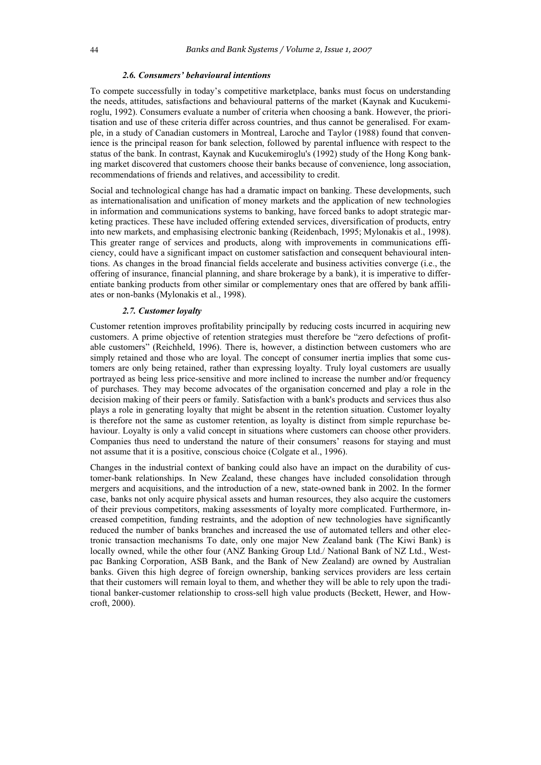#### *2.6. Consumers' behavioural intentions*

To compete successfully in today's competitive marketplace, banks must focus on understanding the needs, attitudes, satisfactions and behavioural patterns of the market (Kaynak and Kucukemiroglu, 1992). Consumers evaluate a number of criteria when choosing a bank. However, the prioritisation and use of these criteria differ across countries, and thus cannot be generalised. For example, in a study of Canadian customers in Montreal, Laroche and Taylor (1988) found that convenience is the principal reason for bank selection, followed by parental influence with respect to the status of the bank. In contrast, Kaynak and Kucukemiroglu's (1992) study of the Hong Kong banking market discovered that customers choose their banks because of convenience, long association, recommendations of friends and relatives, and accessibility to credit.

Social and technological change has had a dramatic impact on banking. These developments, such as internationalisation and unification of money markets and the application of new technologies in information and communications systems to banking, have forced banks to adopt strategic marketing practices. These have included offering extended services, diversification of products, entry into new markets, and emphasising electronic banking (Reidenbach, 1995; Mylonakis et al., 1998). This greater range of services and products, along with improvements in communications efficiency, could have a significant impact on customer satisfaction and consequent behavioural intentions. As changes in the broad financial fields accelerate and business activities converge (i.e., the offering of insurance, financial planning, and share brokerage by a bank), it is imperative to differentiate banking products from other similar or complementary ones that are offered by bank affiliates or non-banks (Mylonakis et al., 1998).

#### *2.7. Customer loyalty*

Customer retention improves profitability principally by reducing costs incurred in acquiring new customers. A prime objective of retention strategies must therefore be "zero defections of profitable customers" (Reichheld, 1996). There is, however, a distinction between customers who are simply retained and those who are loyal. The concept of consumer inertia implies that some customers are only being retained, rather than expressing loyalty. Truly loyal customers are usually portrayed as being less price-sensitive and more inclined to increase the number and/or frequency of purchases. They may become advocates of the organisation concerned and play a role in the decision making of their peers or family. Satisfaction with a bank's products and services thus also plays a role in generating loyalty that might be absent in the retention situation. Customer loyalty is therefore not the same as customer retention, as loyalty is distinct from simple repurchase behaviour. Loyalty is only a valid concept in situations where customers can choose other providers. Companies thus need to understand the nature of their consumers' reasons for staying and must not assume that it is a positive, conscious choice (Colgate et al., 1996).

Changes in the industrial context of banking could also have an impact on the durability of customer-bank relationships. In New Zealand, these changes have included consolidation through mergers and acquisitions, and the introduction of a new, state-owned bank in 2002. In the former case, banks not only acquire physical assets and human resources, they also acquire the customers of their previous competitors, making assessments of loyalty more complicated. Furthermore, increased competition, funding restraints, and the adoption of new technologies have significantly reduced the number of banks branches and increased the use of automated tellers and other electronic transaction mechanisms To date, only one major New Zealand bank (The Kiwi Bank) is locally owned, while the other four (ANZ Banking Group Ltd./ National Bank of NZ Ltd., Westpac Banking Corporation, ASB Bank, and the Bank of New Zealand) are owned by Australian banks. Given this high degree of foreign ownership, banking services providers are less certain that their customers will remain loyal to them, and whether they will be able to rely upon the traditional banker-customer relationship to cross-sell high value products (Beckett, Hewer, and Howcroft, 2000).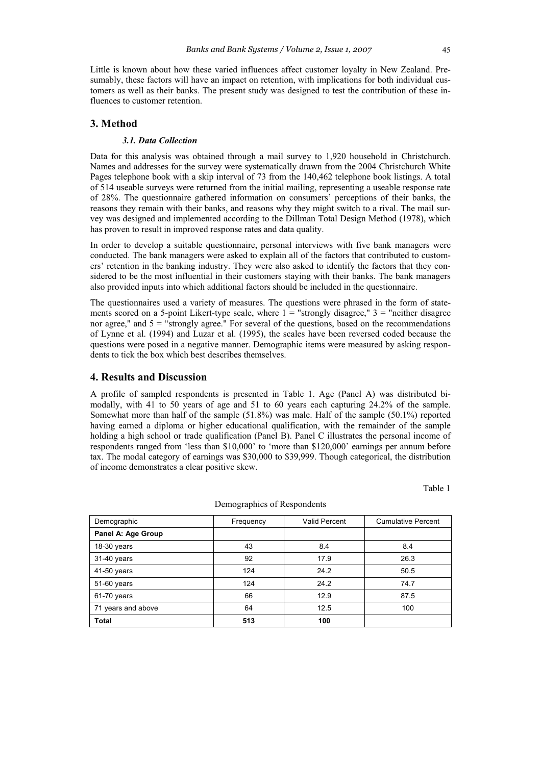Little is known about how these varied influences affect customer loyalty in New Zealand. Presumably, these factors will have an impact on retention, with implications for both individual customers as well as their banks. The present study was designed to test the contribution of these influences to customer retention.

## **3. Method**

#### *3.1. Data Collection*

Data for this analysis was obtained through a mail survey to 1,920 household in Christchurch. Names and addresses for the survey were systematically drawn from the 2004 Christchurch White Pages telephone book with a skip interval of 73 from the 140,462 telephone book listings. A total of 514 useable surveys were returned from the initial mailing, representing a useable response rate of 28%. The questionnaire gathered information on consumers' perceptions of their banks, the reasons they remain with their banks, and reasons why they might switch to a rival. The mail survey was designed and implemented according to the Dillman Total Design Method (1978), which has proven to result in improved response rates and data quality.

In order to develop a suitable questionnaire, personal interviews with five bank managers were conducted. The bank managers were asked to explain all of the factors that contributed to customers' retention in the banking industry. They were also asked to identify the factors that they considered to be the most influential in their customers staying with their banks. The bank managers also provided inputs into which additional factors should be included in the questionnaire.

The questionnaires used a variety of measures. The questions were phrased in the form of statements scored on a 5-point Likert-type scale, where  $1 =$  "strongly disagree,"  $3 =$  "neither disagree nor agree," and  $5 =$ "strongly agree." For several of the questions, based on the recommendations of Lynne et al. (1994) and Luzar et al. (1995), the scales have been reversed coded because the questions were posed in a negative manner. Demographic items were measured by asking respondents to tick the box which best describes themselves.

## **4. Results and Discussion**

A profile of sampled respondents is presented in Table 1. Age (Panel A) was distributed bimodally, with 41 to 50 years of age and 51 to 60 years each capturing 24.2% of the sample. Somewhat more than half of the sample (51.8%) was male. Half of the sample (50.1%) reported having earned a diploma or higher educational qualification, with the remainder of the sample holding a high school or trade qualification (Panel B). Panel C illustrates the personal income of respondents ranged from 'less than \$10,000' to 'more than \$120,000' earnings per annum before tax. The modal category of earnings was \$30,000 to \$39,999. Though categorical, the distribution of income demonstrates a clear positive skew.

Table 1

| Demographic        | Frequency | Valid Percent | <b>Cumulative Percent</b> |
|--------------------|-----------|---------------|---------------------------|
| Panel A: Age Group |           |               |                           |
| $18-30$ years      | 43        | 8.4           | 8.4                       |
| 31-40 years        | 92        | 17.9          | 26.3                      |
| 41-50 years        | 124       | 24.2          | 50.5                      |
| 51-60 years        | 124       | 24.2          | 74.7                      |
| 61-70 years        | 66        | 12.9          | 87.5                      |
| 71 years and above | 64        | 12.5          | 100                       |
| <b>Total</b>       | 513       | 100           |                           |

Demographics of Respondents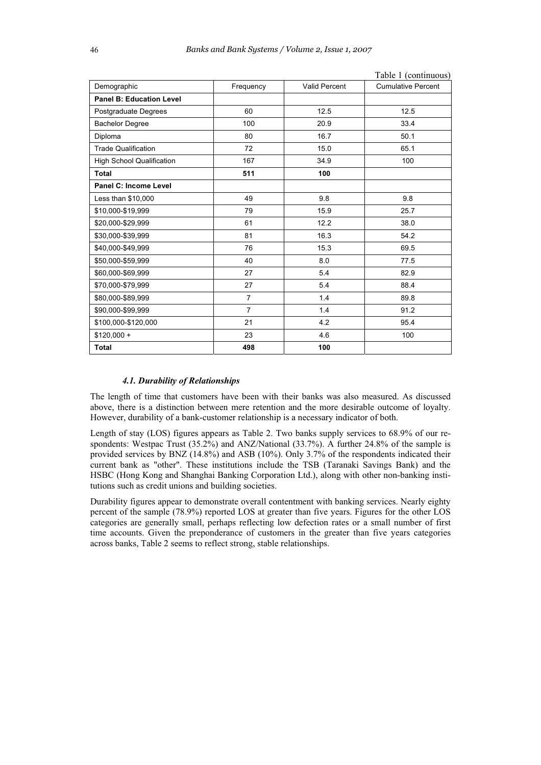|                                  |                |                      | Table 1 (continuous)      |
|----------------------------------|----------------|----------------------|---------------------------|
| Demographic                      | Frequency      | <b>Valid Percent</b> | <b>Cumulative Percent</b> |
| <b>Panel B: Education Level</b>  |                |                      |                           |
| Postgraduate Degrees             | 60             | 12.5                 | 12.5                      |
| <b>Bachelor Degree</b>           | 100            | 20.9                 | 33.4                      |
| Diploma                          | 80             | 16.7                 | 50.1                      |
| <b>Trade Qualification</b>       | 72             | 15.0                 | 65.1                      |
| <b>High School Qualification</b> | 167            | 34.9                 | 100                       |
| Total                            | 511            | 100                  |                           |
| Panel C: Income Level            |                |                      |                           |
| Less than \$10,000               | 49             | 9.8                  | 9.8                       |
| \$10,000-\$19,999                | 79             | 15.9                 | 25.7                      |
| \$20,000-\$29,999                | 61             | 12.2                 | 38.0                      |
| \$30,000-\$39,999                | 81             | 16.3                 | 54.2                      |
| \$40,000-\$49,999                | 76             | 15.3                 | 69.5                      |
| \$50,000-\$59,999                | 40             | 8.0                  | 77.5                      |
| \$60,000-\$69,999                | 27             | 5.4                  | 82.9                      |
| \$70,000-\$79,999                | 27             | 5.4                  | 88.4                      |
| \$80.000-\$89.999                | $\overline{7}$ | 1.4                  | 89.8                      |
| \$90,000-\$99,999                | $\overline{7}$ | 1.4                  | 91.2                      |
| \$100,000-\$120,000              | 21             | 4.2                  | 95.4                      |
| $$120,000 +$                     | 23             | 4.6                  | 100                       |
| Total                            | 498            | 100                  |                           |

#### *4.1. Durability of Relationships*

The length of time that customers have been with their banks was also measured. As discussed above, there is a distinction between mere retention and the more desirable outcome of loyalty. However, durability of a bank-customer relationship is a necessary indicator of both.

Length of stay (LOS) figures appears as Table 2. Two banks supply services to 68.9% of our respondents: Westpac Trust (35.2%) and ANZ/National (33.7%). A further 24.8% of the sample is provided services by BNZ (14.8%) and ASB (10%). Only 3.7% of the respondents indicated their current bank as "other". These institutions include the TSB (Taranaki Savings Bank) and the HSBC (Hong Kong and Shanghai Banking Corporation Ltd.), along with other non-banking institutions such as credit unions and building societies.

Durability figures appear to demonstrate overall contentment with banking services. Nearly eighty percent of the sample (78.9%) reported LOS at greater than five years. Figures for the other LOS categories are generally small, perhaps reflecting low defection rates or a small number of first time accounts. Given the preponderance of customers in the greater than five years categories across banks, Table 2 seems to reflect strong, stable relationships.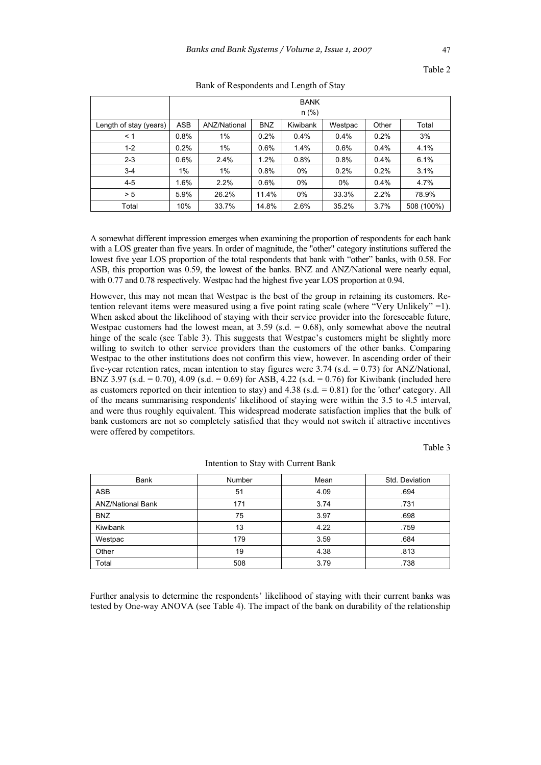Table 2

|                        | <b>BANK</b> |                                                                     |       |       |       |         |            |  |  |
|------------------------|-------------|---------------------------------------------------------------------|-------|-------|-------|---------|------------|--|--|
|                        | $n$ (%)     |                                                                     |       |       |       |         |            |  |  |
| Length of stay (years) | ASB         | ANZ/National<br><b>BNZ</b><br>Kiwibank<br>Other<br>Total<br>Westpac |       |       |       |         |            |  |  |
| < 1                    | 0.8%        | $1\%$                                                               | 0.2%  | 0.4%  | 0.4%  | 0.2%    | 3%         |  |  |
| $1 - 2$                | 0.2%        | $1\%$                                                               | 0.6%  | 1.4%  | 0.6%  | $0.4\%$ | 4.1%       |  |  |
| $2 - 3$                | 0.6%        | 2.4%<br>1.2%                                                        |       | 0.8%  | 0.8%  | 0.4%    | 6.1%       |  |  |
| $3 - 4$                | 1%          | 1%                                                                  | 0.8%  | 0%    | 0.2%  | 0.2%    | 3.1%       |  |  |
| $4 - 5$                | 1.6%        | 2.2%                                                                | 0.6%  | $0\%$ | $0\%$ | 0.4%    | 4.7%       |  |  |
| > 5                    | 5.9%        | 26.2%                                                               | 11.4% | $0\%$ | 33.3% | 2.2%    | 78.9%      |  |  |
| Total                  | 10%         | 33.7%                                                               | 14.8% | 2.6%  | 35.2% | 3.7%    | 508 (100%) |  |  |

Bank of Respondents and Length of Stay

A somewhat different impression emerges when examining the proportion of respondents for each bank with a LOS greater than five years. In order of magnitude, the "other" category institutions suffered the lowest five year LOS proportion of the total respondents that bank with "other" banks, with 0.58. For ASB, this proportion was 0.59, the lowest of the banks. BNZ and ANZ/National were nearly equal, with 0.77 and 0.78 respectively. Westpac had the highest five year LOS proportion at 0.94.

However, this may not mean that Westpac is the best of the group in retaining its customers. Retention relevant items were measured using a five point rating scale (where "Very Unlikely" =1). When asked about the likelihood of staying with their service provider into the foreseeable future, Westpac customers had the lowest mean, at  $3.59$  (s.d. = 0.68), only somewhat above the neutral hinge of the scale (see Table 3). This suggests that Westpac's customers might be slightly more willing to switch to other service providers than the customers of the other banks. Comparing Westpac to the other institutions does not confirm this view, however. In ascending order of their five-year retention rates, mean intention to stay figures were  $3.74$  (s.d. = 0.73) for ANZ/National, BNZ 3.97 (s.d. = 0.70), 4.09 (s.d. = 0.69) for ASB, 4.22 (s.d. = 0.76) for Kiwibank (included here as customers reported on their intention to stay) and  $4.38$  (s.d.  $= 0.81$ ) for the 'other' category. All of the means summarising respondents' likelihood of staying were within the 3.5 to 4.5 interval, and were thus roughly equivalent. This widespread moderate satisfaction implies that the bulk of bank customers are not so completely satisfied that they would not switch if attractive incentives were offered by competitors.

Table 3

| <b>Bank</b>              | Number | Mean | Std. Deviation |  |
|--------------------------|--------|------|----------------|--|
| <b>ASB</b>               | 51     | 4.09 | .694           |  |
| <b>ANZ/National Bank</b> | 171    | 3.74 | .731           |  |
| <b>BNZ</b>               | 75     | 3.97 | .698           |  |
| Kiwibank                 | 13     | 4.22 | .759           |  |
| Westpac                  | 179    | 3.59 | .684           |  |
| Other                    | 19     | 4.38 | .813           |  |
| Total                    | 508    | 3.79 | .738           |  |

Intention to Stay with Current Bank

Further analysis to determine the respondents' likelihood of staying with their current banks was tested by One-way ANOVA (see Table 4). The impact of the bank on durability of the relationship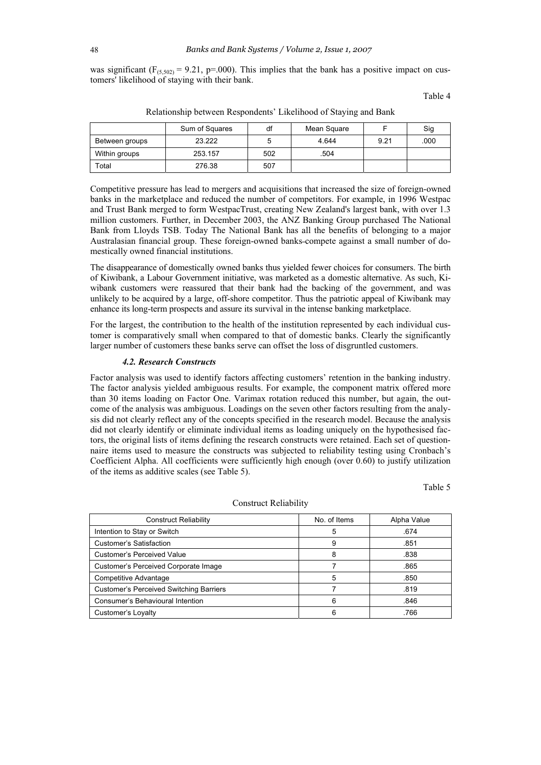was significant  $(F_{(5,502)} = 9.21, p=.000)$ . This implies that the bank has a positive impact on customers' likelihood of staying with their bank.

#### Table 4

|                | Sum of Squares | df  | Mean Square |      | Sig  |
|----------------|----------------|-----|-------------|------|------|
| Between groups | 23.222         |     | 4.644       | 9.21 | .000 |
| Within groups  | 253.157        | 502 | .504        |      |      |
| Total          | 276.38         | 507 |             |      |      |

Relationship between Respondents' Likelihood of Staying and Bank

Competitive pressure has lead to mergers and acquisitions that increased the size of foreign-owned banks in the marketplace and reduced the number of competitors. For example, in 1996 Westpac and Trust Bank merged to form WestpacTrust, creating New Zealand's largest bank, with over 1.3 million customers. Further, in December 2003, the ANZ Banking Group purchased The National Bank from Lloyds TSB. Today The National Bank has all the benefits of belonging to a major Australasian financial group. These foreign-owned banks compete against a small number of domestically owned financial institutions.

The disappearance of domestically owned banks thus yielded fewer choices for consumers. The birth of Kiwibank, a Labour Government initiative, was marketed as a domestic alternative. As such, Kiwibank customers were reassured that their bank had the backing of the government, and was unlikely to be acquired by a large, off-shore competitor. Thus the patriotic appeal of Kiwibank may enhance its long-term prospects and assure its survival in the intense banking marketplace.

For the largest, the contribution to the health of the institution represented by each individual customer is comparatively small when compared to that of domestic banks. Clearly the significantly larger number of customers these banks serve can offset the loss of disgruntled customers.

#### *4.2. Research Constructs*

Factor analysis was used to identify factors affecting customers' retention in the banking industry. The factor analysis yielded ambiguous results. For example, the component matrix offered more than 30 items loading on Factor One. Varimax rotation reduced this number, but again, the outcome of the analysis was ambiguous. Loadings on the seven other factors resulting from the analysis did not clearly reflect any of the concepts specified in the research model. Because the analysis did not clearly identify or eliminate individual items as loading uniquely on the hypothesised factors, the original lists of items defining the research constructs were retained. Each set of questionnaire items used to measure the constructs was subjected to reliability testing using Cronbach's Coefficient Alpha. All coefficients were sufficiently high enough (over 0.60) to justify utilization of the items as additive scales (see Table 5).

Table 5

| Construct Reliability                          | No. of Items | Alpha Value |
|------------------------------------------------|--------------|-------------|
| Intention to Stay or Switch                    | 5            | .674        |
| Customer's Satisfaction                        | 9            | .851        |
| Customer's Perceived Value                     | 8            | .838        |
| Customer's Perceived Corporate Image           |              | .865        |
| Competitive Advantage                          | 5            | .850        |
| <b>Customer's Perceived Switching Barriers</b> |              | .819        |
| Consumer's Behavioural Intention               | 6            | .846        |
| Customer's Loyalty                             | 6            | .766        |

Construct Reliability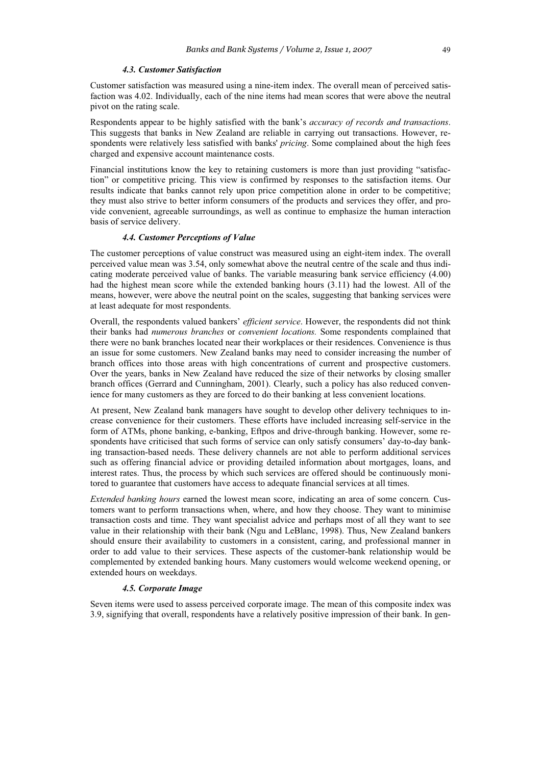#### *4.3. Customer Satisfaction*

Customer satisfaction was measured using a nine-item index. The overall mean of perceived satisfaction was 4.02. Individually, each of the nine items had mean scores that were above the neutral pivot on the rating scale.

Respondents appear to be highly satisfied with the bank's *accuracy of records and transactions*. This suggests that banks in New Zealand are reliable in carrying out transactions. However, respondents were relatively less satisfied with banks' *pricing*. Some complained about the high fees charged and expensive account maintenance costs.

Financial institutions know the key to retaining customers is more than just providing "satisfaction" or competitive pricing. This view is confirmed by responses to the satisfaction items. Our results indicate that banks cannot rely upon price competition alone in order to be competitive; they must also strive to better inform consumers of the products and services they offer, and provide convenient, agreeable surroundings, as well as continue to emphasize the human interaction basis of service delivery.

#### *4.4. Customer Perceptions of Value*

The customer perceptions of value construct was measured using an eight-item index. The overall perceived value mean was 3.54, only somewhat above the neutral centre of the scale and thus indicating moderate perceived value of banks. The variable measuring bank service efficiency (4.00) had the highest mean score while the extended banking hours (3.11) had the lowest. All of the means, however, were above the neutral point on the scales, suggesting that banking services were at least adequate for most respondents.

Overall, the respondents valued bankers' *efficient service*. However, the respondents did not think their banks had *numerous branches* or *convenient locations.* Some respondents complained that there were no bank branches located near their workplaces or their residences. Convenience is thus an issue for some customers. New Zealand banks may need to consider increasing the number of branch offices into those areas with high concentrations of current and prospective customers. Over the years, banks in New Zealand have reduced the size of their networks by closing smaller branch offices (Gerrard and Cunningham, 2001). Clearly, such a policy has also reduced convenience for many customers as they are forced to do their banking at less convenient locations.

At present, New Zealand bank managers have sought to develop other delivery techniques to increase convenience for their customers. These efforts have included increasing self-service in the form of ATMs, phone banking, e-banking, Eftpos and drive-through banking. However, some respondents have criticised that such forms of service can only satisfy consumers' day-to-day banking transaction-based needs. These delivery channels are not able to perform additional services such as offering financial advice or providing detailed information about mortgages, loans, and interest rates. Thus, the process by which such services are offered should be continuously monitored to guarantee that customers have access to adequate financial services at all times.

*Extended banking hours* earned the lowest mean score, indicating an area of some concern*.* Customers want to perform transactions when, where, and how they choose. They want to minimise transaction costs and time. They want specialist advice and perhaps most of all they want to see value in their relationship with their bank (Ngu and LeBlanc, 1998). Thus, New Zealand bankers should ensure their availability to customers in a consistent, caring, and professional manner in order to add value to their services. These aspects of the customer-bank relationship would be complemented by extended banking hours. Many customers would welcome weekend opening, or extended hours on weekdays.

#### *4.5. Corporate Image*

Seven items were used to assess perceived corporate image. The mean of this composite index was 3.9, signifying that overall, respondents have a relatively positive impression of their bank. In gen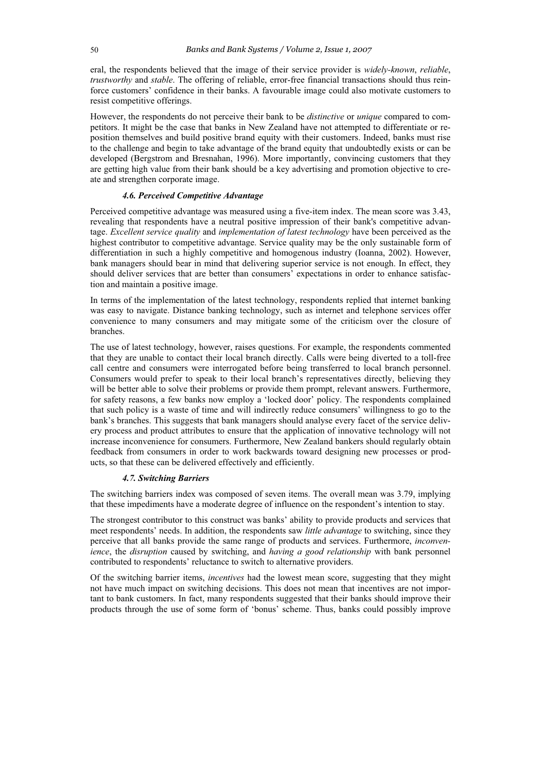eral, the respondents believed that the image of their service provider is *widely-known*, *reliable*, *trustworthy* and *stable*. The offering of reliable, error-free financial transactions should thus reinforce customers' confidence in their banks. A favourable image could also motivate customers to resist competitive offerings.

However, the respondents do not perceive their bank to be *distinctive* or *unique* compared to competitors. It might be the case that banks in New Zealand have not attempted to differentiate or reposition themselves and build positive brand equity with their customers. Indeed, banks must rise to the challenge and begin to take advantage of the brand equity that undoubtedly exists or can be developed (Bergstrom and Bresnahan, 1996). More importantly, convincing customers that they are getting high value from their bank should be a key advertising and promotion objective to create and strengthen corporate image.

## *4.6. Perceived Competitive Advantage*

Perceived competitive advantage was measured using a five-item index. The mean score was 3.43, revealing that respondents have a neutral positive impression of their bank's competitive advantage. *Excellent service quality* and *implementation of latest technology* have been perceived as the highest contributor to competitive advantage. Service quality may be the only sustainable form of differentiation in such a highly competitive and homogenous industry (Ioanna, 2002). However, bank managers should bear in mind that delivering superior service is not enough. In effect, they should deliver services that are better than consumers' expectations in order to enhance satisfaction and maintain a positive image.

In terms of the implementation of the latest technology, respondents replied that internet banking was easy to navigate. Distance banking technology, such as internet and telephone services offer convenience to many consumers and may mitigate some of the criticism over the closure of branches.

The use of latest technology, however, raises questions. For example, the respondents commented that they are unable to contact their local branch directly. Calls were being diverted to a toll-free call centre and consumers were interrogated before being transferred to local branch personnel. Consumers would prefer to speak to their local branch's representatives directly, believing they will be better able to solve their problems or provide them prompt, relevant answers. Furthermore, for safety reasons, a few banks now employ a 'locked door' policy. The respondents complained that such policy is a waste of time and will indirectly reduce consumers' willingness to go to the bank's branches. This suggests that bank managers should analyse every facet of the service delivery process and product attributes to ensure that the application of innovative technology will not increase inconvenience for consumers. Furthermore, New Zealand bankers should regularly obtain feedback from consumers in order to work backwards toward designing new processes or products, so that these can be delivered effectively and efficiently.

#### *4.7. Switching Barriers*

The switching barriers index was composed of seven items. The overall mean was 3.79, implying that these impediments have a moderate degree of influence on the respondent's intention to stay.

The strongest contributor to this construct was banks' ability to provide products and services that meet respondents' needs. In addition, the respondents saw *little advantage* to switching, since they perceive that all banks provide the same range of products and services. Furthermore, *inconvenience*, the *disruption* caused by switching, and *having a good relationship* with bank personnel contributed to respondents' reluctance to switch to alternative providers.

Of the switching barrier items, *incentives* had the lowest mean score, suggesting that they might not have much impact on switching decisions. This does not mean that incentives are not important to bank customers. In fact, many respondents suggested that their banks should improve their products through the use of some form of 'bonus' scheme. Thus, banks could possibly improve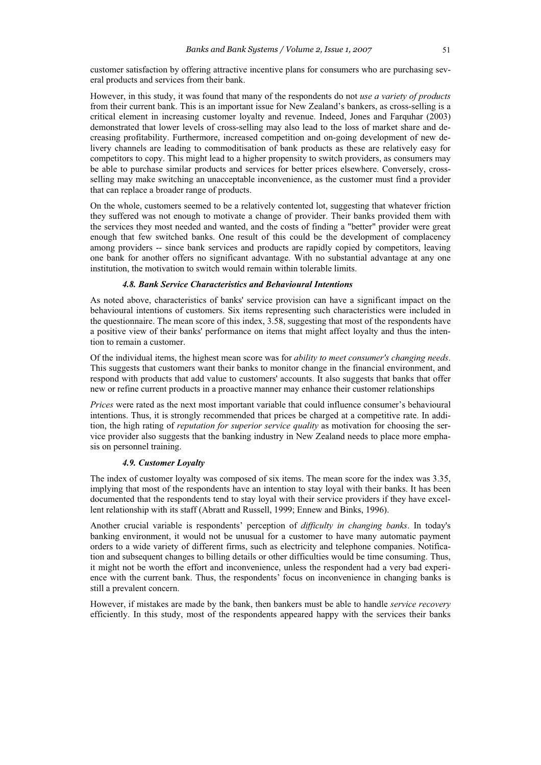customer satisfaction by offering attractive incentive plans for consumers who are purchasing several products and services from their bank.

However, in this study, it was found that many of the respondents do not *use a variety of products* from their current bank. This is an important issue for New Zealand's bankers, as cross-selling is a critical element in increasing customer loyalty and revenue. Indeed, Jones and Farquhar (2003) demonstrated that lower levels of cross-selling may also lead to the loss of market share and decreasing profitability. Furthermore, increased competition and on-going development of new delivery channels are leading to commoditisation of bank products as these are relatively easy for competitors to copy. This might lead to a higher propensity to switch providers, as consumers may be able to purchase similar products and services for better prices elsewhere. Conversely, crossselling may make switching an unacceptable inconvenience, as the customer must find a provider that can replace a broader range of products.

On the whole, customers seemed to be a relatively contented lot, suggesting that whatever friction they suffered was not enough to motivate a change of provider. Their banks provided them with the services they most needed and wanted, and the costs of finding a "better" provider were great enough that few switched banks. One result of this could be the development of complacency among providers -- since bank services and products are rapidly copied by competitors, leaving one bank for another offers no significant advantage. With no substantial advantage at any one institution, the motivation to switch would remain within tolerable limits.

#### *4.8. Bank Service Characteristics and Behavioural Intentions*

As noted above, characteristics of banks' service provision can have a significant impact on the behavioural intentions of customers. Six items representing such characteristics were included in the questionnaire. The mean score of this index, 3.58, suggesting that most of the respondents have a positive view of their banks' performance on items that might affect loyalty and thus the intention to remain a customer.

Of the individual items, the highest mean score was for *ability to meet consumer's changing needs*. This suggests that customers want their banks to monitor change in the financial environment, and respond with products that add value to customers' accounts. It also suggests that banks that offer new or refine current products in a proactive manner may enhance their customer relationships

*Prices* were rated as the next most important variable that could influence consumer's behavioural intentions. Thus, it is strongly recommended that prices be charged at a competitive rate. In addition, the high rating of *reputation for superior service quality* as motivation for choosing the service provider also suggests that the banking industry in New Zealand needs to place more emphasis on personnel training.

## *4.9. Customer Loyalty*

The index of customer loyalty was composed of six items. The mean score for the index was 3.35, implying that most of the respondents have an intention to stay loyal with their banks. It has been documented that the respondents tend to stay loyal with their service providers if they have excellent relationship with its staff (Abratt and Russell, 1999; Ennew and Binks, 1996).

Another crucial variable is respondents' perception of *difficulty in changing banks*. In today's banking environment, it would not be unusual for a customer to have many automatic payment orders to a wide variety of different firms, such as electricity and telephone companies. Notification and subsequent changes to billing details or other difficulties would be time consuming. Thus, it might not be worth the effort and inconvenience, unless the respondent had a very bad experience with the current bank. Thus, the respondents' focus on inconvenience in changing banks is still a prevalent concern.

However, if mistakes are made by the bank, then bankers must be able to handle *service recovery* efficiently. In this study, most of the respondents appeared happy with the services their banks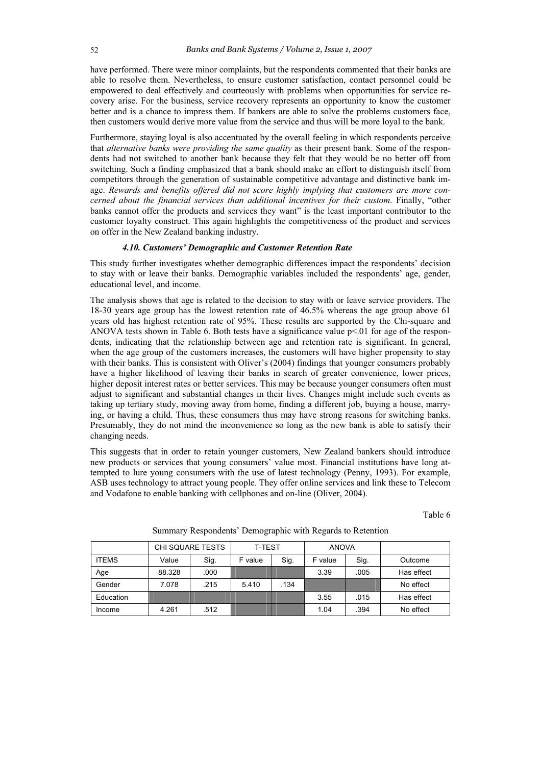have performed. There were minor complaints, but the respondents commented that their banks are able to resolve them. Nevertheless, to ensure customer satisfaction, contact personnel could be empowered to deal effectively and courteously with problems when opportunities for service recovery arise. For the business, service recovery represents an opportunity to know the customer better and is a chance to impress them. If bankers are able to solve the problems customers face, then customers would derive more value from the service and thus will be more loyal to the bank.

Furthermore, staying loyal is also accentuated by the overall feeling in which respondents perceive that *alternative banks were providing the same quality* as their present bank. Some of the respondents had not switched to another bank because they felt that they would be no better off from switching. Such a finding emphasized that a bank should make an effort to distinguish itself from competitors through the generation of sustainable competitive advantage and distinctive bank image. *Rewards and benefits offered did not score highly implying that customers are more concerned about the financial services than additional incentives for their custom*. Finally, "other banks cannot offer the products and services they want" is the least important contributor to the customer loyalty construct. This again highlights the competitiveness of the product and services on offer in the New Zealand banking industry.

### *4.10. Customers' Demographic and Customer Retention Rate*

This study further investigates whether demographic differences impact the respondents' decision to stay with or leave their banks. Demographic variables included the respondents' age, gender, educational level, and income.

The analysis shows that age is related to the decision to stay with or leave service providers. The 18-30 years age group has the lowest retention rate of 46.5% whereas the age group above 61 years old has highest retention rate of 95%. These results are supported by the Chi-square and ANOVA tests shown in Table 6. Both tests have a significance value p<.01 for age of the respondents, indicating that the relationship between age and retention rate is significant. In general, when the age group of the customers increases, the customers will have higher propensity to stay with their banks. This is consistent with Oliver's (2004) findings that younger consumers probably have a higher likelihood of leaving their banks in search of greater convenience, lower prices, higher deposit interest rates or better services. This may be because younger consumers often must adjust to significant and substantial changes in their lives. Changes might include such events as taking up tertiary study, moving away from home, finding a different job, buying a house, marrying, or having a child. Thus, these consumers thus may have strong reasons for switching banks. Presumably, they do not mind the inconvenience so long as the new bank is able to satisfy their changing needs.

This suggests that in order to retain younger customers, New Zealand bankers should introduce new products or services that young consumers' value most. Financial institutions have long attempted to lure young consumers with the use of latest technology (Penny, 1993). For example, ASB uses technology to attract young people. They offer online services and link these to Telecom and Vodafone to enable banking with cellphones and on-line (Oliver, 2004).

Table 6

|           |        | <b>CHI SQUARE TESTS</b> | <b>T-TEST</b> |      | <b>ANOVA</b> |      |            |
|-----------|--------|-------------------------|---------------|------|--------------|------|------------|
| ITEMS     | Value  | Sig.                    | F value       | Sig. | F value      | Sig. | Outcome    |
| Age       | 88.328 | .000                    |               |      | 3.39         | .005 | Has effect |
| Gender    | 7.078  | .215                    | 5.410         | .134 |              |      | No effect  |
| Education |        |                         |               |      | 3.55         | .015 | Has effect |
| Income    | 4.261  | .512                    |               |      | 1.04         | .394 | No effect  |

Summary Respondents' Demographic with Regards to Retention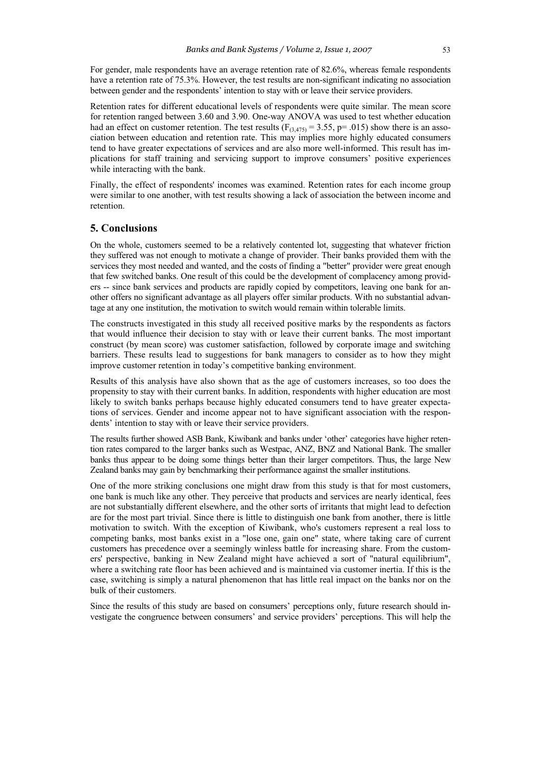For gender, male respondents have an average retention rate of 82.6%, whereas female respondents have a retention rate of 75.3%. However, the test results are non-significant indicating no association between gender and the respondents' intention to stay with or leave their service providers.

Retention rates for different educational levels of respondents were quite similar. The mean score for retention ranged between 3.60 and 3.90. One-way ANOVA was used to test whether education had an effect on customer retention. The test results  $(F_{(3,475)} = 3.55, p = .015)$  show there is an association between education and retention rate. This may implies more highly educated consumers tend to have greater expectations of services and are also more well-informed. This result has implications for staff training and servicing support to improve consumers' positive experiences while interacting with the bank.

Finally, the effect of respondents' incomes was examined. Retention rates for each income group were similar to one another, with test results showing a lack of association the between income and retention.

## **5. Conclusions**

On the whole, customers seemed to be a relatively contented lot, suggesting that whatever friction they suffered was not enough to motivate a change of provider. Their banks provided them with the services they most needed and wanted, and the costs of finding a "better" provider were great enough that few switched banks. One result of this could be the development of complacency among providers -- since bank services and products are rapidly copied by competitors, leaving one bank for another offers no significant advantage as all players offer similar products. With no substantial advantage at any one institution, the motivation to switch would remain within tolerable limits.

The constructs investigated in this study all received positive marks by the respondents as factors that would influence their decision to stay with or leave their current banks. The most important construct (by mean score) was customer satisfaction, followed by corporate image and switching barriers. These results lead to suggestions for bank managers to consider as to how they might improve customer retention in today's competitive banking environment.

Results of this analysis have also shown that as the age of customers increases, so too does the propensity to stay with their current banks. In addition, respondents with higher education are most likely to switch banks perhaps because highly educated consumers tend to have greater expectations of services. Gender and income appear not to have significant association with the respondents' intention to stay with or leave their service providers.

The results further showed ASB Bank, Kiwibank and banks under 'other' categories have higher retention rates compared to the larger banks such as Westpac, ANZ, BNZ and National Bank. The smaller banks thus appear to be doing some things better than their larger competitors. Thus, the large New Zealand banks may gain by benchmarking their performance against the smaller institutions.

One of the more striking conclusions one might draw from this study is that for most customers, one bank is much like any other. They perceive that products and services are nearly identical, fees are not substantially different elsewhere, and the other sorts of irritants that might lead to defection are for the most part trivial. Since there is little to distinguish one bank from another, there is little motivation to switch. With the exception of Kiwibank, who's customers represent a real loss to competing banks, most banks exist in a "lose one, gain one" state, where taking care of current customers has precedence over a seemingly winless battle for increasing share. From the customers' perspective, banking in New Zealand might have achieved a sort of "natural equilibrium", where a switching rate floor has been achieved and is maintained via customer inertia. If this is the case, switching is simply a natural phenomenon that has little real impact on the banks nor on the bulk of their customers.

Since the results of this study are based on consumers' perceptions only, future research should investigate the congruence between consumers' and service providers' perceptions. This will help the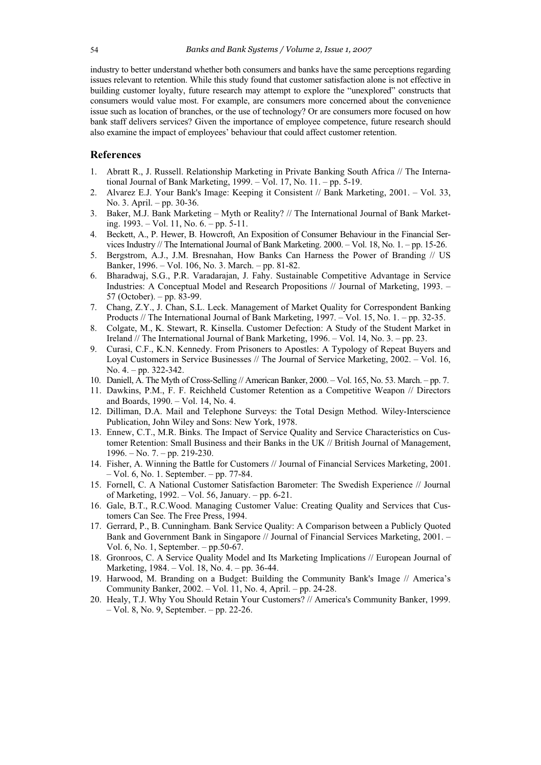industry to better understand whether both consumers and banks have the same perceptions regarding issues relevant to retention. While this study found that customer satisfaction alone is not effective in building customer loyalty, future research may attempt to explore the "unexplored" constructs that consumers would value most. For example, are consumers more concerned about the convenience issue such as location of branches, or the use of technology? Or are consumers more focused on how bank staff delivers services? Given the importance of employee competence, future research should also examine the impact of employees' behaviour that could affect customer retention.

## **References**

- 1. Abratt R., J. Russell. Relationship Marketing in Private Banking South Africa // The International Journal of Bank Marketing, 1999. – Vol. 17, No. 11. – pp. 5-19.
- 2. Alvarez E.J. Your Bank's Image: Keeping it Consistent // Bank Marketing, 2001. Vol. 33, No. 3. April. – pp. 30-36.
- 3. Baker, M.J. Bank Marketing Myth or Reality? // The International Journal of Bank Marketing. 1993. – Vol. 11, No. 6. – pp. 5-11.
- 4. Beckett, A., P. Hewer, B. Howcroft, An Exposition of Consumer Behaviour in the Financial Services Industry // The International Journal of Bank Marketing. 2000. – Vol. 18, No. 1. – pp. 15-26.
- 5. Bergstrom, A.J., J.M. Bresnahan, How Banks Can Harness the Power of Branding // US Banker, 1996. – Vol. 106, No. 3. March. – pp. 81-82.
- 6. Bharadwaj, S.G., P.R. Varadarajan, J. Fahy. Sustainable Competitive Advantage in Service Industries: A Conceptual Model and Research Propositions // Journal of Marketing, 1993. – 57 (October). – pp. 83-99.
- 7. Chang, Z.Y., J. Chan, S.L. Leck. Management of Market Quality for Correspondent Banking Products // The International Journal of Bank Marketing, 1997. – Vol. 15, No. 1. – pp. 32-35.
- 8. Colgate, M., K. Stewart, R. Kinsella. Customer Defection: A Study of the Student Market in Ireland // The International Journal of Bank Marketing, 1996. – Vol. 14, No. 3. – pp. 23.
- 9. Curasi, C.F., K.N. Kennedy. From Prisoners to Apostles: A Typology of Repeat Buyers and Loyal Customers in Service Businesses // The Journal of Service Marketing, 2002. – Vol. 16, No. 4. – pp. 322-342.
- 10. Daniell, A. The Myth of Cross-Selling // American Banker, 2000. Vol. 165, No. 53. March. pp. 7.
- 11. Dawkins, P.M., F. F. Reichheld Customer Retention as a Competitive Weapon // Directors and Boards, 1990. – Vol. 14, No. 4.
- 12. Dilliman, D.A. Mail and Telephone Surveys: the Total Design Method. Wiley-Interscience Publication, John Wiley and Sons: New York, 1978.
- 13. Ennew, C.T., M.R. Binks. The Impact of Service Quality and Service Characteristics on Customer Retention: Small Business and their Banks in the UK // British Journal of Management, 1996. – No. 7. – pp. 219-230.
- 14. Fisher, A. Winning the Battle for Customers // Journal of Financial Services Marketing, 2001. – Vol. 6, No. 1. September. – pp. 77-84.
- 15. Fornell, C. A National Customer Satisfaction Barometer: The Swedish Experience // Journal of Marketing, 1992. – Vol. 56, January. – pp. 6-21.
- 16. Gale, B.T., R.C.Wood. Managing Customer Value: Creating Quality and Services that Customers Can See. The Free Press, 1994.
- 17. Gerrard, P., B. Cunningham. Bank Service Quality: A Comparison between a Publicly Quoted Bank and Government Bank in Singapore // Journal of Financial Services Marketing, 2001. – Vol. 6, No. 1, September. – pp.50-67.
- 18. Gronroos, C. A Service Quality Model and Its Marketing Implications // European Journal of Marketing, 1984. – Vol. 18, No. 4. – pp. 36-44.
- 19. Harwood, M. Branding on a Budget: Building the Community Bank's Image // America's Community Banker, 2002. – Vol. 11, No. 4, April. – pp. 24-28.
- 20. Healy, T.J. Why You Should Retain Your Customers? // America's Community Banker, 1999. – Vol. 8, No. 9, September. – pp. 22-26.